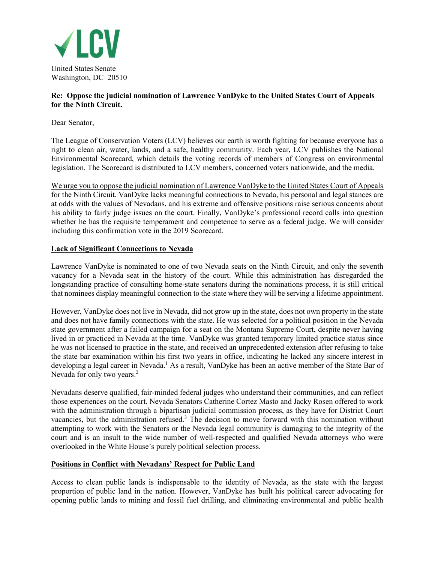

# Re: Oppose the judicial nomination of Lawrence VanDyke to the United States Court of Appeals for the Ninth Circuit.

Dear Senator,

The League of Conservation Voters (LCV) believes our earth is worth fighting for because everyone has a right to clean air, water, lands, and a safe, healthy community. Each year, LCV publishes the National Environmental Scorecard, which details the voting records of members of Congress on environmental legislation. The Scorecard is distributed to LCV members, concerned voters nationwide, and the media.

We urge you to oppose the judicial nomination of Lawrence VanDyke to the United States Court of Appeals for the Ninth Circuit. VanDyke lacks meaningful connections to Nevada, his personal and legal stances are at odds with the values of Nevadans, and his extreme and offensive positions raise serious concerns about his ability to fairly judge issues on the court. Finally, VanDyke's professional record calls into question whether he has the requisite temperament and competence to serve as a federal judge. We will consider including this confirmation vote in the 2019 Scorecard.

# Lack of Significant Connections to Nevada

Lawrence VanDyke is nominated to one of two Nevada seats on the Ninth Circuit, and only the seventh vacancy for a Nevada seat in the history of the court. While this administration has disregarded the longstanding practice of consulting home-state senators during the nominations process, it is still critical that nominees display meaningful connection to the state where they will be serving a lifetime appointment.

However, VanDyke does not live in Nevada, did not grow up in the state, does not own property in the state and does not have family connections with the state. He was selected for a political position in the Nevada state government after a failed campaign for a seat on the Montana Supreme Court, despite never having lived in or practiced in Nevada at the time. VanDyke was granted temporary limited practice status since he was not licensed to practice in the state, and received an unprecedented extension after refusing to take the state bar examination within his first two years in office, indicating he lacked any sincere interest in developing a legal career in Nevada.<sup>1</sup> As a result, VanDyke has been an active member of the State Bar of Nevada for only two years.<sup>2</sup>

Nevadans deserve qualified, fair-minded federal judges who understand their communities, and can reflect those experiences on the court. Nevada Senators Catherine Cortez Masto and Jacky Rosen offered to work with the administration through a bipartisan judicial commission process, as they have for District Court vacancies, but the administration refused.<sup>3</sup> The decision to move forward with this nomination without attempting to work with the Senators or the Nevada legal community is damaging to the integrity of the court and is an insult to the wide number of well-respected and qualified Nevada attorneys who were overlooked in the White House's purely political selection process.

### Positions in Conflict with Nevadans' Respect for Public Land

Access to clean public lands is indispensable to the identity of Nevada, as the state with the largest proportion of public land in the nation. However, VanDyke has built his political career advocating for opening public lands to mining and fossil fuel drilling, and eliminating environmental and public health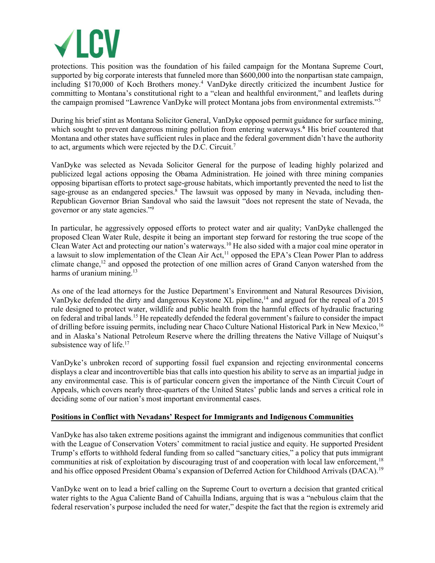

protections. This position was the foundation of his failed campaign for the Montana Supreme Court, supported by big corporate interests that funneled more than \$600,000 into the nonpartisan state campaign, including \$170,000 of Koch Brothers money.<sup>4</sup> VanDyke directly criticized the incumbent Justice for committing to Montana's constitutional right to a "clean and healthful environment," and leaflets during the campaign promised "Lawrence VanDyke will protect Montana jobs from environmental extremists."<sup>5</sup>

During his brief stint as Montana Solicitor General, VanDyke opposed permit guidance for surface mining, which sought to prevent dangerous mining pollution from entering waterways.<sup>6</sup> His brief countered that Montana and other states have sufficient rules in place and the federal government didn't have the authority to act, arguments which were rejected by the D.C. Circuit.<sup>7</sup>

VanDyke was selected as Nevada Solicitor General for the purpose of leading highly polarized and publicized legal actions opposing the Obama Administration. He joined with three mining companies opposing bipartisan efforts to protect sage-grouse habitats, which importantly prevented the need to list the sage-grouse as an endangered species.<sup>8</sup> The lawsuit was opposed by many in Nevada, including then-Republican Governor Brian Sandoval who said the lawsuit "does not represent the state of Nevada, the governor or any state agencies."<sup>9</sup>

In particular, he aggressively opposed efforts to protect water and air quality; VanDyke challenged the proposed Clean Water Rule, despite it being an important step forward for restoring the true scope of the Clean Water Act and protecting our nation's waterways.<sup>10</sup> He also sided with a major coal mine operator in a lawsuit to slow implementation of the Clean Air Act,<sup>11</sup> opposed the EPA's Clean Power Plan to address climate change,<sup>12</sup> and opposed the protection of one million acres of Grand Canyon watershed from the harms of uranium mining. $13$ 

As one of the lead attorneys for the Justice Department's Environment and Natural Resources Division, VanDyke defended the dirty and dangerous Keystone XL pipeline,<sup>14</sup> and argued for the repeal of a 2015 rule designed to protect water, wildlife and public health from the harmful effects of hydraulic fracturing on federal and tribal lands.<sup>15</sup> He repeatedly defended the federal government's failure to consider the impact of drilling before issuing permits, including near Chaco Culture National Historical Park in New Mexico,<sup>16</sup> and in Alaska's National Petroleum Reserve where the drilling threatens the Native Village of Nuiqsut's subsistence way of life. $17$ 

VanDyke's unbroken record of supporting fossil fuel expansion and rejecting environmental concerns displays a clear and incontrovertible bias that calls into question his ability to serve as an impartial judge in any environmental case. This is of particular concern given the importance of the Ninth Circuit Court of Appeals, which covers nearly three-quarters of the United States' public lands and serves a critical role in deciding some of our nation's most important environmental cases.

### Positions in Conflict with Nevadans' Respect for Immigrants and Indigenous Communities

VanDyke has also taken extreme positions against the immigrant and indigenous communities that conflict with the League of Conservation Voters' commitment to racial justice and equity. He supported President Trump's efforts to withhold federal funding from so called "sanctuary cities," a policy that puts immigrant communities at risk of exploitation by discouraging trust of and cooperation with local law enforcement,<sup>18</sup> and his office opposed President Obama's expansion of Deferred Action for Childhood Arrivals (DACA).<sup>19</sup>

VanDyke went on to lead a brief calling on the Supreme Court to overturn a decision that granted critical water rights to the Agua Caliente Band of Cahuilla Indians, arguing that is was a "nebulous claim that the federal reservation's purpose included the need for water," despite the fact that the region is extremely arid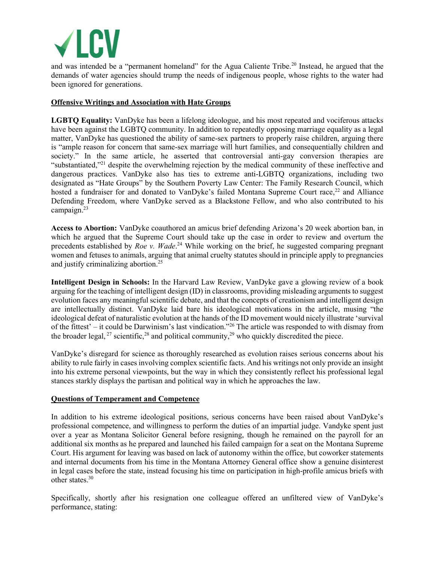

and was intended be a "permanent homeland" for the Agua Caliente Tribe.<sup>20</sup> Instead, he argued that the demands of water agencies should trump the needs of indigenous people, whose rights to the water had been ignored for generations.

# Offensive Writings and Association with Hate Groups

LGBTQ Equality: VanDyke has been a lifelong ideologue, and his most repeated and vociferous attacks have been against the LGBTQ community. In addition to repeatedly opposing marriage equality as a legal matter, VanDyke has questioned the ability of same-sex partners to properly raise children, arguing there is "ample reason for concern that same-sex marriage will hurt families, and consequentially children and society." In the same article, he asserted that controversial anti-gay conversion therapies are "substantiated,"<sup>21</sup> despite the overwhelming rejection by the medical community of these ineffective and dangerous practices. VanDyke also has ties to extreme anti-LGBTQ organizations, including two designated as "Hate Groups" by the Southern Poverty Law Center: The Family Research Council, which hosted a fundraiser for and donated to VanDyke's failed Montana Supreme Court race,<sup>22</sup> and Alliance Defending Freedom, where VanDyke served as a Blackstone Fellow, and who also contributed to his campaign.<sup>23</sup>

Access to Abortion: VanDyke coauthored an amicus brief defending Arizona's 20 week abortion ban, in which he argued that the Supreme Court should take up the case in order to review and overturn the precedents established by *Roe v. Wade*.<sup>24</sup> While working on the brief, he suggested comparing pregnant women and fetuses to animals, arguing that animal cruelty statutes should in principle apply to pregnancies and justify criminalizing abortion.<sup>25</sup>

Intelligent Design in Schools: In the Harvard Law Review, VanDyke gave a glowing review of a book arguing for the teaching of intelligent design (ID) in classrooms, providing misleading arguments to suggest evolution faces any meaningful scientific debate, and that the concepts of creationism and intelligent design are intellectually distinct. VanDyke laid bare his ideological motivations in the article, musing "the ideological defeat of naturalistic evolution at the hands of the ID movement would nicely illustrate 'survival of the fittest' – it could be Darwinism's last vindication."<sup>26</sup> The article was responded to with dismay from the broader legal,  $^{27}$  scientific,  $^{28}$  and political community,  $^{29}$  who quickly discredited the piece.

VanDyke's disregard for science as thoroughly researched as evolution raises serious concerns about his ability to rule fairly in cases involving complex scientific facts. And his writings not only provide an insight into his extreme personal viewpoints, but the way in which they consistently reflect his professional legal stances starkly displays the partisan and political way in which he approaches the law.

### Questions of Temperament and Competence

In addition to his extreme ideological positions, serious concerns have been raised about VanDyke's professional competence, and willingness to perform the duties of an impartial judge. Vandyke spent just over a year as Montana Solicitor General before resigning, though he remained on the payroll for an additional six months as he prepared and launched his failed campaign for a seat on the Montana Supreme Court. His argument for leaving was based on lack of autonomy within the office, but coworker statements and internal documents from his time in the Montana Attorney General office show a genuine disinterest in legal cases before the state, instead focusing his time on participation in high-profile amicus briefs with other states.<sup>30</sup>

Specifically, shortly after his resignation one colleague offered an unfiltered view of VanDyke's performance, stating: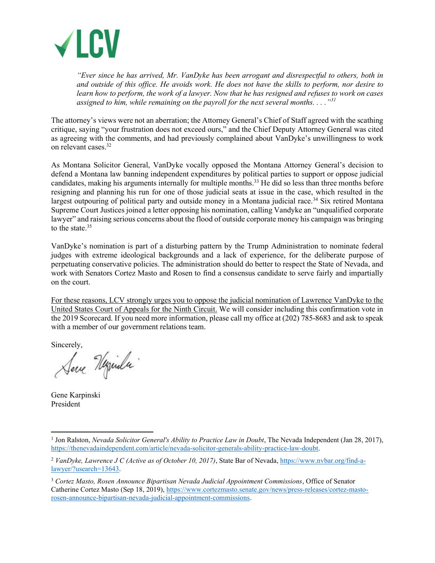

"Ever since he has arrived, Mr. VanDyke has been arrogant and disrespectful to others, both in and outside of this office. He avoids work. He does not have the skills to perform, nor desire to learn how to perform, the work of a lawyer. Now that he has resigned and refuses to work on cases assigned to him, while remaining on the payroll for the next several months.  $\ldots$ <sup>31</sup>

The attorney's views were not an aberration; the Attorney General's Chief of Staff agreed with the scathing critique, saying "your frustration does not exceed ours," and the Chief Deputy Attorney General was cited as agreeing with the comments, and had previously complained about VanDyke's unwillingness to work on relevant cases.<sup>32</sup>

As Montana Solicitor General, VanDyke vocally opposed the Montana Attorney General's decision to defend a Montana law banning independent expenditures by political parties to support or oppose judicial candidates, making his arguments internally for multiple months.<sup>33</sup> He did so less than three months before resigning and planning his run for one of those judicial seats at issue in the case, which resulted in the largest outpouring of political party and outside money in a Montana judicial race.<sup>34</sup> Six retired Montana Supreme Court Justices joined a letter opposing his nomination, calling Vandyke an "unqualified corporate lawyer" and raising serious concerns about the flood of outside corporate money his campaign was bringing to the state.<sup>35</sup>

VanDyke's nomination is part of a disturbing pattern by the Trump Administration to nominate federal judges with extreme ideological backgrounds and a lack of experience, for the deliberate purpose of perpetuating conservative policies. The administration should do better to respect the State of Nevada, and work with Senators Cortez Masto and Rosen to find a consensus candidate to serve fairly and impartially on the court.

For these reasons, LCV strongly urges you to oppose the judicial nomination of Lawrence VanDyke to the United States Court of Appeals for the Ninth Circuit. We will consider including this confirmation vote in the 2019 Scorecard. If you need more information, please call my office at (202) 785-8683 and ask to speak with a member of our government relations team.

Sincerely,

Serve Hymila.

Gene Karpinski President

<sup>&</sup>lt;sup>1</sup> Jon Ralston, *Nevada Solicitor General's Ability to Practice Law in Doubt*, The Nevada Independent (Jan 28, 2017), https://thenevadaindependent.com/article/nevada-solicitor-generals-ability-practice-law-doubt.

<sup>&</sup>lt;sup>2</sup> VanDyke, Lawrence J C (Active as of October 10, 2017), State Bar of Nevada, https://www.nvbar.org/find-alawyer/?usearch=13643.

<sup>&</sup>lt;sup>3</sup> Cortez Masto, Rosen Announce Bipartisan Nevada Judicial Appointment Commissions, Office of Senator Catherine Cortez Masto (Sep 18, 2019), https://www.cortezmasto.senate.gov/news/press-releases/cortez-mastorosen-announce-bipartisan-nevada-judicial-appointment-commissions.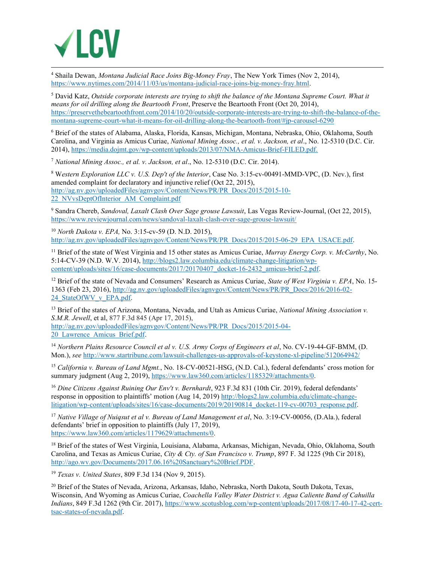

<sup>4</sup> Shaila Dewan, *Montana Judicial Race Joins Big-Money Fray*, The New York Times (Nov 2, 2014), https://www.nytimes.com/2014/11/03/us/montana-judicial-race-joins-big-money-fray.html.

<sup>5</sup> David Katz, Outside corporate interests are trying to shift the balance of the Montana Supreme Court. What it means for oil drilling along the Beartooth Front, Preserve the Beartooth Front (Oct 20, 2014), https://preservethebeartoothfront.com/2014/10/20/outside-corporate-interests-are-trying-to-shift-the-balance-of-themontana-supreme-court-what-it-means-for-oil-drilling-along-the-beartooth-front/#jp-carousel-6290

6 Brief of the states of Alabama, Alaska, Florida, Kansas, Michigan, Montana, Nebraska, Ohio, Oklahoma, South Carolina, and Virginia as Amicus Curiae, National Mining Assoc., et al. v. Jackson, et al., No. 12-5310 (D.C. Cir. 2014), https://media.dojmt.gov/wp-content/uploads/2013/07/NMA-Amicus-Brief-FILED.pdf.

<sup>7</sup> National Mining Assoc., et al. v. Jackson, et al., No. 12-5310 (D.C. Cir. 2014).

<sup>8</sup> Western Exploration LLC v. U.S. Dep't of the Interior, Case No. 3:15-cv-00491-MMD-VPC, (D. Nev.), first amended complaint for declaratory and injunctive relief (Oct 22, 2015), http://ag.nv.gov/uploadedFiles/agnvgov/Content/News/PR/PR\_Docs/2015/2015-10- 22<sup>MV</sup>vsDeptOfInterior\_AM\_Complaint.pdf

<sup>9</sup> Sandra Chereb, Sandoval, Laxalt Clash Over Sage grouse Lawsuit, Las Vegas Review-Journal, (Oct 22, 2015), https://www.reviewjournal.com/news/sandoval-laxalt-clash-over-sage-grouse-lawsuit/

<sup>10</sup> North Dakota v. EPA, No. 3:15-cv-59 (D. N.D. 2015), http://ag.nv.gov/uploadedFiles/agnvgov/Content/News/PR/PR\_Docs/2015/2015-06-29\_EPA\_USACE.pdf.

<sup>11</sup> Brief of the state of West Virginia and 15 other states as Amicus Curiae, *Murray Energy Corp. v. McCarthy*, No. 5:14-CV-39 (N.D. W.V. 2014), http://blogs2.law.columbia.edu/climate-change-litigation/wpcontent/uploads/sites/16/case-documents/2017/20170407\_docket-16-2432\_amicus-brief-2.pdf.

<sup>12</sup> Brief of the state of Nevada and Consumers' Research as Amicus Curiae, *State of West Virginia v. EPA*, No. 15-1363 (Feb 23, 2016), http://ag.nv.gov/uploadedFiles/agnvgov/Content/News/PR/PR\_Docs/2016/2016-02- 24 StateOfWV v EPA.pdf.

<sup>13</sup> Brief of the states of Arizona, Montana, Nevada, and Utah as Amicus Curiae, National Mining Association v. S.M.R. Jewell, et al, 877 F.3d 845 (Apr 17, 2015), http://ag.nv.gov/uploadedFiles/agnvgov/Content/News/PR/PR\_Docs/2015/2015-04- 20\_Lawrence\_Amicus\_Brief.pdf.

<sup>14</sup> Northern Plains Resource Council et al v. U.S. Army Corps of Engineers et al, No. CV-19-44-GF-BMM, (D. Mon.), see http://www.startribune.com/lawsuit-challenges-us-approvals-of-keystone-xl-pipeline/512064942/

<sup>15</sup> California v. Bureau of Land Mgmt., No. 18-CV-00521-HSG, (N.D. Cal.), federal defendants' cross motion for summary judgment (Aug 2, 2019), https://www.law360.com/articles/1185329/attachments/0.

<sup>16</sup> Dine Citizens Against Ruining Our Env't v. Bernhardt, 923 F.3d 831 (10th Cir. 2019), federal defendants' response in opposition to plaintiffs' motion (Aug 14, 2019) http://blogs2.law.columbia.edu/climate-changelitigation/wp-content/uploads/sites/16/case-documents/2019/20190814\_docket-119-cv-00703\_response.pdf.

<sup>17</sup> Native Village of Nuigsut et al v. Bureau of Land Management et al. No. 3:19-CV-00056, (D.Ala.), federal defendants' brief in opposition to plaintiffs (July 17, 2019), https://www.law360.com/articles/1179629/attachments/0.

<sup>18</sup> Brief of the states of West Virginia, Louisiana, Alabama, Arkansas, Michigan, Nevada, Ohio, Oklahoma, South Carolina, and Texas as Amicus Curiae, City & Cty. of San Francisco v. Trump, 897 F. 3d 1225 (9th Cir 2018), http://ago.wv.gov/Documents/2017.06.16%20Sanctuary%20Brief.PDF.

<sup>19</sup> Texas v. United States, 809 F.3d 134 (Nov 9, 2015).

<sup>20</sup> Brief of the States of Nevada, Arizona, Arkansas, Idaho, Nebraska, North Dakota, South Dakota, Texas, Wisconsin, And Wyoming as Amicus Curiae, Coachella Valley Water District v. Agua Caliente Band of Cahuilla Indians, 849 F.3d 1262 (9th Cir. 2017), https://www.scotusblog.com/wp-content/uploads/2017/08/17-40-17-42-certtsac-states-of-nevada.pdf.